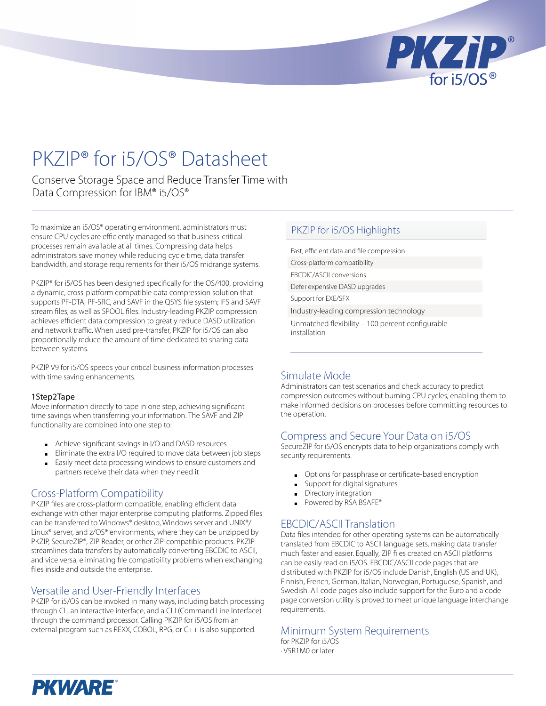

# PKZIP® for i5/OS® Datasheet

Conserve Storage Space and Reduce Transfer Time with Data Compression for IBM® i5/OS®

To maximize an i5/OS® operating environment, administrators must ensure CPU cycles are efficiently managed so that business-critical processes remain available at all times. Compressing data helps administrators save money while reducing cycle time, data transfer bandwidth, and storage requirements for their i5/OS midrange systems.

PKZIP® for i5/OS has been designed specifically for the OS/400, providing a dynamic, cross-platform compatible data compression solution that supports PF-DTA, PF-SRC, and SAVF in the QSYS file system; IFS and SAVF stream files, as well as SPOOL files. Industry-leading PKZIP compression achieves efficient data compression to greatly reduce DASD utilization and network traffic. When used pre-transfer, PKZIP for i5/OS can also proportionally reduce the amount of time dedicated to sharing data between systems.

PKZIP V9 for i5/OS speeds your critical business information processes with time saving enhancements.

#### 1Step2Tape

Move information directly to tape in one step, achieving significant time savings when transferring your information. The SAVF and ZIP functionality are combined into one step to:

- Achieve significant savings in I/O and DASD resources
- Eliminate the extra I/O required to move data between job steps ■ Easily meet data processing windows to ensure customers and partners receive their data when they need it

# Cross-Platform Compatibility

PKZIP files are cross-platform compatible, enabling efficient data exchange with other major enterprise computing platforms. Zipped files can be transferred to Windows® desktop, Windows server and UNIX®/ Linux® server, and z/OS® environments, where they can be unzipped by PKZIP, SecureZIP®, ZIP Reader, or other ZIP-compatible products. PKZIP streamlines data transfers by automatically converting EBCDIC to ASCII, and vice versa, eliminating file compatibility problems when exchanging files inside and outside the enterprise.

### Versatile and User-Friendly Interfaces

PKZIP for i5/OS can be invoked in many ways, including batch processing through CL, an interactive interface, and a CLI (Command Line Interface) through the command processor. Calling PKZIP for i5/OS from an external program such as REXX, COBOL, RPG, or C++ is also supported.

### PKZIP for i5/OS Highlights

Fast, efficient data and file compression Cross-platform compatibility EBCDIC/ASCII conversions Defer expensive DASD upgrades Support for EXE/SFX

Industry-leading compression technology

Unmatched flexibility – 100 percent configurable installation

# Simulate Mode

Administrators can test scenarios and check accuracy to predict compression outcomes without burning CPU cycles, enabling them to make informed decisions on processes before committing resources to the operation.

# Compress and Secure Your Data on i5/OS

SecureZIP for i5/OS encrypts data to help organizations comply with security requirements.

- Options for passphrase or certificate-based encryption ■
- Support for digital signatures ■
- Directory integration ■
- Powered by RSA BSAFE®

### EBCDIC/ASCII Translation

Data files intended for other operating systems can be automatically translated from EBCDIC to ASCII language sets, making data transfer much faster and easier. Equally, ZIP files created on ASCII platforms can be easily read on i5/OS. EBCDIC/ASCII code pages that are distributed with PKZIP for i5/OS include Danish, English (US and UK), Finnish, French, German, Italian, Norwegian, Portuguese, Spanish, and Swedish. All code pages also include support for the Euro and a code page conversion utility is proved to meet unique language interchange requirements.

# Minimum System Requirements

for PKZIP for i5/OS · V5R1M0 or later